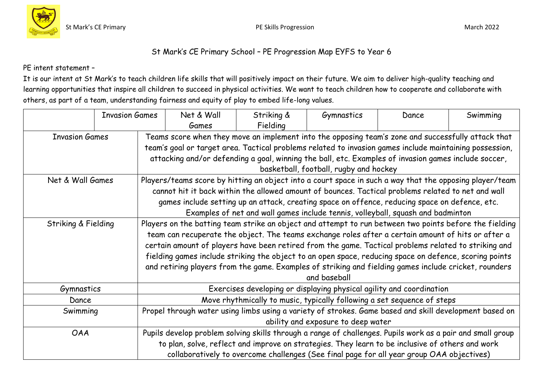



## St Mark's CE Primary School – PE Progression Map EYFS to Year 6

PE intent statement –

It is our intent at St Mark's to teach children life skills that will positively impact on their future. We aim to deliver high-quality teaching and learning opportunities that inspire all children to succeed in physical activities. We want to teach children how to cooperate and collaborate with others, as part of a team, understanding fairness and equity of play to embed life-long values.

|                       | <b>Invasion Games</b> |                                                                                                            | Net & Wall | Striking &                                                                                              | Gymnastics                             | Dance | Swimming |
|-----------------------|-----------------------|------------------------------------------------------------------------------------------------------------|------------|---------------------------------------------------------------------------------------------------------|----------------------------------------|-------|----------|
|                       |                       |                                                                                                            | Games      | Fielding                                                                                                |                                        |       |          |
| <b>Invasion Games</b> |                       |                                                                                                            |            | Teams score when they move an implement into the opposing team's zone and successfully attack that      |                                        |       |          |
|                       |                       |                                                                                                            |            | team's goal or target area. Tactical problems related to invasion games include maintaining possession, |                                        |       |          |
|                       |                       |                                                                                                            |            | attacking and/or defending a goal, winning the ball, etc. Examples of invasion games include soccer,    |                                        |       |          |
|                       |                       |                                                                                                            |            |                                                                                                         | basketball, football, rugby and hockey |       |          |
| Net & Wall Games      |                       |                                                                                                            |            | Players/teams score by hitting an object into a court space in such a way that the opposing player/team |                                        |       |          |
|                       |                       |                                                                                                            |            | cannot hit it back within the allowed amount of bounces. Tactical problems related to net and wall      |                                        |       |          |
|                       |                       |                                                                                                            |            | games include setting up an attack, creating space on offence, reducing space on defence, etc.          |                                        |       |          |
|                       |                       |                                                                                                            |            | Examples of net and wall games include tennis, volleyball, squash and badminton                         |                                        |       |          |
| Striking & Fielding   |                       |                                                                                                            |            | Players on the batting team strike an object and attempt to run between two points before the fielding  |                                        |       |          |
|                       |                       |                                                                                                            |            | team can recuperate the object. The teams exchange roles after a certain amount of hits or after a      |                                        |       |          |
|                       |                       |                                                                                                            |            | certain amount of players have been retired from the game. Tactical problems related to striking and    |                                        |       |          |
|                       |                       |                                                                                                            |            | fielding games include striking the object to an open space, reducing space on defence, scoring points  |                                        |       |          |
|                       |                       |                                                                                                            |            | and retiring players from the game. Examples of striking and fielding games include cricket, rounders   |                                        |       |          |
|                       |                       |                                                                                                            |            |                                                                                                         | and baseball                           |       |          |
| Gymnastics            |                       |                                                                                                            |            | Exercises developing or displaying physical agility and coordination                                    |                                        |       |          |
| Dance                 |                       |                                                                                                            |            | Move rhythmically to music, typically following a set sequence of steps                                 |                                        |       |          |
| Swimming              |                       | Propel through water using limbs using a variety of strokes. Game based and skill development based on     |            |                                                                                                         |                                        |       |          |
|                       |                       | ability and exposure to deep water                                                                         |            |                                                                                                         |                                        |       |          |
| <b>OAA</b>            |                       | Pupils develop problem solving skills through a range of challenges. Pupils work as a pair and small group |            |                                                                                                         |                                        |       |          |
|                       |                       | to plan, solve, reflect and improve on strategies. They learn to be inclusive of others and work           |            |                                                                                                         |                                        |       |          |
|                       |                       |                                                                                                            |            | collaboratively to overcome challenges (See final page for all year group OAA objectives)               |                                        |       |          |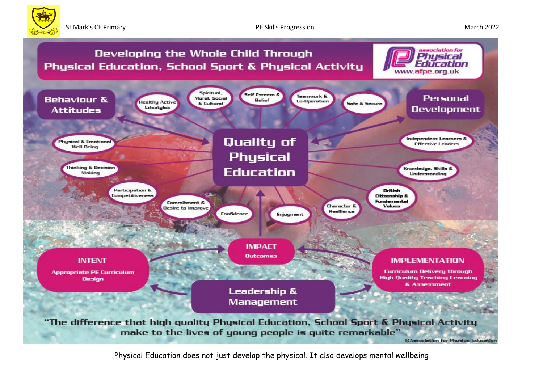



Physical Education does not just develop the physical. It also develops mental wellbeing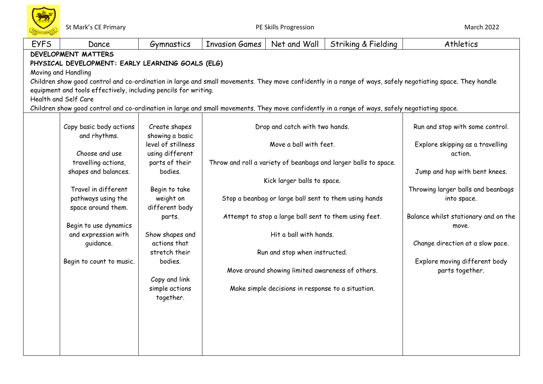

| <b>EYFS</b> | Dance                                                                                                                                          | Gymnastics         | <b>Invasion Games</b> | Net and Wall                                          | Striking & Fielding                                             | Athletics                                                                                                                                                  |  |  |
|-------------|------------------------------------------------------------------------------------------------------------------------------------------------|--------------------|-----------------------|-------------------------------------------------------|-----------------------------------------------------------------|------------------------------------------------------------------------------------------------------------------------------------------------------------|--|--|
|             | <b>DEVELOPMENT MATTERS</b>                                                                                                                     |                    |                       |                                                       |                                                                 |                                                                                                                                                            |  |  |
|             | PHYSICAL DEVELOPMENT: EARLY LEARNING GOALS (ELG)                                                                                               |                    |                       |                                                       |                                                                 |                                                                                                                                                            |  |  |
|             | Moving and Handling                                                                                                                            |                    |                       |                                                       |                                                                 |                                                                                                                                                            |  |  |
|             |                                                                                                                                                |                    |                       |                                                       |                                                                 | Children show good control and co-ordination in large and small movements. They move confidently in a range of ways, safely negotiating space. They handle |  |  |
|             | equipment and tools effectively, including pencils for writing.                                                                                |                    |                       |                                                       |                                                                 |                                                                                                                                                            |  |  |
|             | Health and Self Care                                                                                                                           |                    |                       |                                                       |                                                                 |                                                                                                                                                            |  |  |
|             | Children show good control and co-ordination in large and small movements. They move confidently in a range of ways, safely negotiating space. |                    |                       |                                                       |                                                                 |                                                                                                                                                            |  |  |
|             | Copy basic body actions                                                                                                                        | Create shapes      |                       | Drop and catch with two hands.                        |                                                                 | Run and stop with some control.                                                                                                                            |  |  |
|             | and rhythms.                                                                                                                                   | showing a basic    |                       |                                                       |                                                                 |                                                                                                                                                            |  |  |
|             |                                                                                                                                                | level of stillness |                       | Move a ball with feet.                                |                                                                 | Explore skipping as a travelling                                                                                                                           |  |  |
|             | Choose and use                                                                                                                                 | using different    |                       |                                                       |                                                                 | action.                                                                                                                                                    |  |  |
|             | travelling actions,                                                                                                                            | parts of their     |                       |                                                       | Throw and roll a variety of beanbags and larger balls to space. |                                                                                                                                                            |  |  |
|             | shapes and balances.                                                                                                                           | bodies.            |                       |                                                       |                                                                 | Jump and hop with bent knees.                                                                                                                              |  |  |
|             |                                                                                                                                                |                    |                       | Kick larger balls to space.                           |                                                                 |                                                                                                                                                            |  |  |
|             | Travel in different                                                                                                                            | Begin to take      |                       |                                                       |                                                                 | Throwing larger balls and beanbags                                                                                                                         |  |  |
|             | pathways using the                                                                                                                             | weight on          |                       |                                                       | Stop a beanbag or large ball sent to them using hands           | into space.                                                                                                                                                |  |  |
|             | space around them.                                                                                                                             | different body     |                       |                                                       |                                                                 |                                                                                                                                                            |  |  |
|             |                                                                                                                                                | parts.             |                       | Attempt to stop a large ball sent to them using feet. |                                                                 | Balance whilst stationary and on the                                                                                                                       |  |  |
|             | Begin to use dynamics                                                                                                                          |                    |                       |                                                       |                                                                 | move.                                                                                                                                                      |  |  |
|             | and expression with                                                                                                                            | Show shapes and    |                       | Hit a ball with hands.                                |                                                                 |                                                                                                                                                            |  |  |
|             | quidance.                                                                                                                                      | actions that       |                       |                                                       |                                                                 | Change direction at a slow pace.                                                                                                                           |  |  |
|             |                                                                                                                                                | stretch their      |                       | Run and stop when instructed.                         |                                                                 |                                                                                                                                                            |  |  |
|             | Begin to count to music.                                                                                                                       | bodies.            |                       |                                                       |                                                                 | Explore moving different body                                                                                                                              |  |  |
|             |                                                                                                                                                | Copy and link      |                       | Move around showing limited awareness of others.      |                                                                 | parts together.                                                                                                                                            |  |  |
|             |                                                                                                                                                | simple actions     |                       | Make simple decisions in response to a situation.     |                                                                 |                                                                                                                                                            |  |  |
|             |                                                                                                                                                | together.          |                       |                                                       |                                                                 |                                                                                                                                                            |  |  |
|             |                                                                                                                                                |                    |                       |                                                       |                                                                 |                                                                                                                                                            |  |  |
|             |                                                                                                                                                |                    |                       |                                                       |                                                                 |                                                                                                                                                            |  |  |
|             |                                                                                                                                                |                    |                       |                                                       |                                                                 |                                                                                                                                                            |  |  |
|             |                                                                                                                                                |                    |                       |                                                       |                                                                 |                                                                                                                                                            |  |  |
|             |                                                                                                                                                |                    |                       |                                                       |                                                                 |                                                                                                                                                            |  |  |
|             |                                                                                                                                                |                    |                       |                                                       |                                                                 |                                                                                                                                                            |  |  |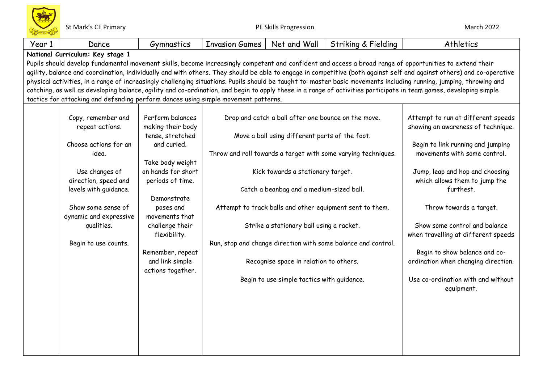| Year 1 | Dance                                                                                                                                                                                                                                                                                                                                                                                                                                                                                                                                                                                                                                                                                                                                                                | Gymnastics                             | <b>Invasion Games</b> | Net and Wall                                        | Striking & Fielding                                           | Athletics                                                                |  |  |
|--------|----------------------------------------------------------------------------------------------------------------------------------------------------------------------------------------------------------------------------------------------------------------------------------------------------------------------------------------------------------------------------------------------------------------------------------------------------------------------------------------------------------------------------------------------------------------------------------------------------------------------------------------------------------------------------------------------------------------------------------------------------------------------|----------------------------------------|-----------------------|-----------------------------------------------------|---------------------------------------------------------------|--------------------------------------------------------------------------|--|--|
|        | National Curriculum: Key stage 1                                                                                                                                                                                                                                                                                                                                                                                                                                                                                                                                                                                                                                                                                                                                     |                                        |                       |                                                     |                                                               |                                                                          |  |  |
|        | Pupils should develop fundamental movement skills, become increasingly competent and confident and access a broad range of opportunities to extend their<br>agility, balance and coordination, individually and with others. They should be able to engage in competitive (both against self and against others) and co-operative<br>physical activities, in a range of increasingly challenging situations. Pupils should be taught to: master basic movements including running, jumping, throwing and<br>catching, as well as developing balance, agility and co-ordination, and begin to apply these in a range of activities participate in team games, developing simple<br>tactics for attacking and defending perform dances using simple movement patterns. |                                        |                       |                                                     |                                                               |                                                                          |  |  |
|        |                                                                                                                                                                                                                                                                                                                                                                                                                                                                                                                                                                                                                                                                                                                                                                      |                                        |                       |                                                     |                                                               |                                                                          |  |  |
|        | Copy, remember and<br>repeat actions.                                                                                                                                                                                                                                                                                                                                                                                                                                                                                                                                                                                                                                                                                                                                | Perform balances<br>making their body  |                       | Drop and catch a ball after one bounce on the move. |                                                               | Attempt to run at different speeds<br>showing an awareness of technique. |  |  |
|        |                                                                                                                                                                                                                                                                                                                                                                                                                                                                                                                                                                                                                                                                                                                                                                      | tense, stretched                       |                       | Move a ball using different parts of the foot.      |                                                               |                                                                          |  |  |
|        | Choose actions for an<br>idea.                                                                                                                                                                                                                                                                                                                                                                                                                                                                                                                                                                                                                                                                                                                                       | and curled.                            |                       |                                                     | Throw and roll towards a target with some varying techniques. | Begin to link running and jumping<br>movements with some control.        |  |  |
|        | Use changes of                                                                                                                                                                                                                                                                                                                                                                                                                                                                                                                                                                                                                                                                                                                                                       | Take body weight<br>on hands for short |                       | Kick towards a stationary target.                   |                                                               | Jump, leap and hop and choosing                                          |  |  |
|        | direction, speed and<br>levels with guidance.                                                                                                                                                                                                                                                                                                                                                                                                                                                                                                                                                                                                                                                                                                                        | periods of time.                       |                       | Catch a beanbag and a medium-sized ball.            |                                                               | which allows them to jump the<br>furthest.                               |  |  |
|        | Show some sense of                                                                                                                                                                                                                                                                                                                                                                                                                                                                                                                                                                                                                                                                                                                                                   | Demonstrate<br>poses and               |                       |                                                     | Attempt to track balls and other equipment sent to them.      | Throw towards a target.                                                  |  |  |
|        | dynamic and expressive<br>qualities.                                                                                                                                                                                                                                                                                                                                                                                                                                                                                                                                                                                                                                                                                                                                 | movements that<br>challenge their      |                       | Strike a stationary ball using a racket.            |                                                               | Show some control and balance                                            |  |  |
|        | Begin to use counts.                                                                                                                                                                                                                                                                                                                                                                                                                                                                                                                                                                                                                                                                                                                                                 | flexibility.                           |                       |                                                     | Run, stop and change direction with some balance and control. | when travelling at different speeds                                      |  |  |
|        |                                                                                                                                                                                                                                                                                                                                                                                                                                                                                                                                                                                                                                                                                                                                                                      | Remember, repeat                       |                       |                                                     |                                                               | Begin to show balance and co-                                            |  |  |
|        |                                                                                                                                                                                                                                                                                                                                                                                                                                                                                                                                                                                                                                                                                                                                                                      | and link simple<br>actions together.   |                       | Recognise space in relation to others.              |                                                               | ordination when changing direction.                                      |  |  |
|        |                                                                                                                                                                                                                                                                                                                                                                                                                                                                                                                                                                                                                                                                                                                                                                      |                                        |                       | Begin to use simple tactics with guidance.          |                                                               | Use co-ordination with and without<br>equipment.                         |  |  |
|        |                                                                                                                                                                                                                                                                                                                                                                                                                                                                                                                                                                                                                                                                                                                                                                      |                                        |                       |                                                     |                                                               |                                                                          |  |  |
|        |                                                                                                                                                                                                                                                                                                                                                                                                                                                                                                                                                                                                                                                                                                                                                                      |                                        |                       |                                                     |                                                               |                                                                          |  |  |
|        |                                                                                                                                                                                                                                                                                                                                                                                                                                                                                                                                                                                                                                                                                                                                                                      |                                        |                       |                                                     |                                                               |                                                                          |  |  |
|        |                                                                                                                                                                                                                                                                                                                                                                                                                                                                                                                                                                                                                                                                                                                                                                      |                                        |                       |                                                     |                                                               |                                                                          |  |  |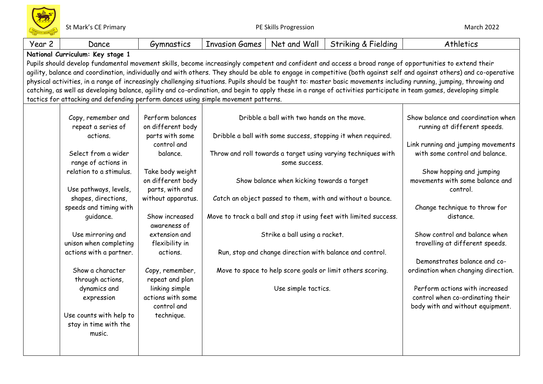| Year 2 | Dance                                                                                                                                                    | Gymnastics                     | <b>Invasion Games</b> | Net and Wall                               | Striking & Fielding                                               | Athletics                                                                                                                                                             |  |
|--------|----------------------------------------------------------------------------------------------------------------------------------------------------------|--------------------------------|-----------------------|--------------------------------------------|-------------------------------------------------------------------|-----------------------------------------------------------------------------------------------------------------------------------------------------------------------|--|
|        | National Curriculum: Key stage 1                                                                                                                         |                                |                       |                                            |                                                                   |                                                                                                                                                                       |  |
|        | Pupils should develop fundamental movement skills, become increasingly competent and confident and access a broad range of opportunities to extend their |                                |                       |                                            |                                                                   |                                                                                                                                                                       |  |
|        |                                                                                                                                                          |                                |                       |                                            |                                                                   | agility, balance and coordination, individually and with others. They should be able to engage in competitive (both against self and against others) and co-operative |  |
|        |                                                                                                                                                          |                                |                       |                                            |                                                                   | physical activities, in a range of increasingly challenging situations. Pupils should be taught to: master basic movements including running, jumping, throwing and   |  |
|        |                                                                                                                                                          |                                |                       |                                            |                                                                   | catching, as well as developing balance, agility and co-ordination, and begin to apply these in a range of activities participate in team games, developing simple    |  |
|        | tactics for attacking and defending perform dances using simple movement patterns.                                                                       |                                |                       |                                            |                                                                   |                                                                                                                                                                       |  |
|        |                                                                                                                                                          |                                |                       |                                            |                                                                   |                                                                                                                                                                       |  |
|        | Copy, remember and                                                                                                                                       | Perform balances               |                       | Dribble a ball with two hands on the move. |                                                                   | Show balance and coordination when                                                                                                                                    |  |
|        | repeat a series of                                                                                                                                       | on different body              |                       |                                            |                                                                   | running at different speeds.                                                                                                                                          |  |
|        | actions.                                                                                                                                                 | parts with some                |                       |                                            | Dribble a ball with some success, stopping it when required.      |                                                                                                                                                                       |  |
|        |                                                                                                                                                          | control and                    |                       |                                            |                                                                   | Link running and jumping movements                                                                                                                                    |  |
|        | Select from a wider                                                                                                                                      | balance.                       |                       |                                            | Throw and roll towards a target using varying techniques with     | with some control and balance.                                                                                                                                        |  |
|        | range of actions in                                                                                                                                      |                                |                       | some success.                              |                                                                   |                                                                                                                                                                       |  |
|        | relation to a stimulus.                                                                                                                                  | Take body weight               |                       |                                            |                                                                   | Show hopping and jumping                                                                                                                                              |  |
|        |                                                                                                                                                          | on different body              |                       | Show balance when kicking towards a target |                                                                   | movements with some balance and                                                                                                                                       |  |
|        | Use pathways, levels,                                                                                                                                    | parts, with and                |                       |                                            |                                                                   | control.                                                                                                                                                              |  |
|        | shapes, directions,                                                                                                                                      | without apparatus.             |                       |                                            | Catch an object passed to them, with and without a bounce.        |                                                                                                                                                                       |  |
|        | speeds and timing with                                                                                                                                   |                                |                       |                                            |                                                                   | Change technique to throw for                                                                                                                                         |  |
|        | quidance.                                                                                                                                                | Show increased<br>awareness of |                       |                                            | Move to track a ball and stop it using feet with limited success. | distance.                                                                                                                                                             |  |
|        | Use mirroring and                                                                                                                                        | extension and                  |                       | Strike a ball using a racket.              |                                                                   | Show control and balance when                                                                                                                                         |  |
|        | unison when completing                                                                                                                                   | flexibility in                 |                       |                                            |                                                                   | travelling at different speeds.                                                                                                                                       |  |
|        | actions with a partner.                                                                                                                                  | actions.                       |                       |                                            | Run, stop and change direction with balance and control.          |                                                                                                                                                                       |  |
|        |                                                                                                                                                          |                                |                       |                                            |                                                                   | Demonstrates balance and co-                                                                                                                                          |  |
|        | Show a character                                                                                                                                         | Copy, remember,                |                       |                                            | Move to space to help score goals or limit others scoring.        | ordination when changing direction.                                                                                                                                   |  |
|        | through actions,                                                                                                                                         | repeat and plan                |                       |                                            |                                                                   |                                                                                                                                                                       |  |
|        | dynamics and                                                                                                                                             | linking simple                 |                       | Use simple tactics.                        |                                                                   | Perform actions with increased                                                                                                                                        |  |
|        | expression                                                                                                                                               | actions with some              |                       |                                            |                                                                   | control when co-ordinating their                                                                                                                                      |  |
|        |                                                                                                                                                          | control and                    |                       |                                            |                                                                   | body with and without equipment.                                                                                                                                      |  |
|        | Use counts with help to                                                                                                                                  | technique.                     |                       |                                            |                                                                   |                                                                                                                                                                       |  |
|        | stay in time with the                                                                                                                                    |                                |                       |                                            |                                                                   |                                                                                                                                                                       |  |
|        | music.                                                                                                                                                   |                                |                       |                                            |                                                                   |                                                                                                                                                                       |  |
|        |                                                                                                                                                          |                                |                       |                                            |                                                                   |                                                                                                                                                                       |  |
|        |                                                                                                                                                          |                                |                       |                                            |                                                                   |                                                                                                                                                                       |  |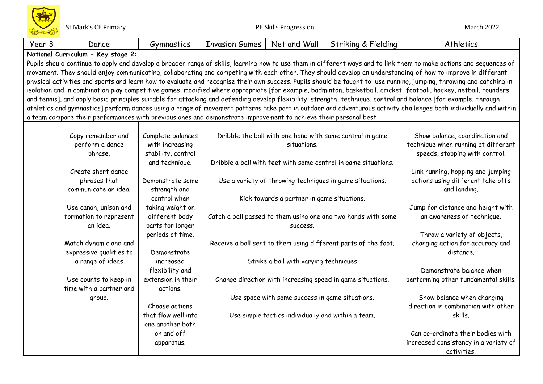| Year 3 | Dance                                                                                                                                                               | Gymnastics          | <b>Invasion Games</b> | Net and Wall                                       | Striking & Fielding                                            | Athletics                                                                                                                                                            |  |
|--------|---------------------------------------------------------------------------------------------------------------------------------------------------------------------|---------------------|-----------------------|----------------------------------------------------|----------------------------------------------------------------|----------------------------------------------------------------------------------------------------------------------------------------------------------------------|--|
|        | National Curriculum - Key stage 2:                                                                                                                                  |                     |                       |                                                    |                                                                |                                                                                                                                                                      |  |
|        | Pupils should continue to apply and develop a broader range of skills, learning how to use them in different ways and to link them to make actions and sequences of |                     |                       |                                                    |                                                                |                                                                                                                                                                      |  |
|        | movement. They should enjoy communicating, collaborating and competing with each other. They should develop an understanding of how to improve in different         |                     |                       |                                                    |                                                                |                                                                                                                                                                      |  |
|        |                                                                                                                                                                     |                     |                       |                                                    |                                                                | physical activities and sports and learn how to evaluate and recognise their own success. Pupils should be taught to: use running, jumping, throwing and catching in |  |
|        |                                                                                                                                                                     |                     |                       |                                                    |                                                                | isolation and in combination play competitive games, modified where appropriate [for example, badminton, basketball, cricket, football, hockey, netball, rounders    |  |
|        |                                                                                                                                                                     |                     |                       |                                                    |                                                                | and tennis], and apply basic principles suitable for attacking and defending develop flexibility, strength, technique, control and balance [for example, through     |  |
|        |                                                                                                                                                                     |                     |                       |                                                    |                                                                | athletics and gymnastics] perform dances using a range of movement patterns take part in outdoor and adventurous activity challenges both individually and within    |  |
|        | a team compare their performances with previous ones and demonstrate improvement to achieve their personal best                                                     |                     |                       |                                                    |                                                                |                                                                                                                                                                      |  |
|        |                                                                                                                                                                     |                     |                       |                                                    |                                                                |                                                                                                                                                                      |  |
|        | Copy remember and                                                                                                                                                   | Complete balances   |                       |                                                    | Dribble the ball with one hand with some control in game       | Show balance, coordination and                                                                                                                                       |  |
|        | perform a dance                                                                                                                                                     | with increasing     |                       | situations.                                        |                                                                | technique when running at different                                                                                                                                  |  |
|        | phrase.                                                                                                                                                             | stability, control  |                       |                                                    |                                                                | speeds, stopping with control.                                                                                                                                       |  |
|        |                                                                                                                                                                     | and technique.      |                       |                                                    | Dribble a ball with feet with some control in game situations. |                                                                                                                                                                      |  |
|        | Create short dance                                                                                                                                                  |                     |                       |                                                    |                                                                | Link running, hopping and jumping                                                                                                                                    |  |
|        | phrases that                                                                                                                                                        | Demonstrate some    |                       |                                                    | Use a variety of throwing techniques in game situations.       | actions using different take offs                                                                                                                                    |  |
|        | communicate an idea.                                                                                                                                                | strength and        |                       |                                                    |                                                                | and landing.                                                                                                                                                         |  |
|        |                                                                                                                                                                     | control when        |                       | Kick towards a partner in game situations.         |                                                                |                                                                                                                                                                      |  |
|        | Use canon, unison and                                                                                                                                               | taking weight on    |                       |                                                    |                                                                | Jump for distance and height with                                                                                                                                    |  |
|        | formation to represent                                                                                                                                              | different body      |                       |                                                    | Catch a ball passed to them using one and two hands with some  | an awareness of technique.                                                                                                                                           |  |
|        | an idea.                                                                                                                                                            | parts for longer    |                       | SUCCESS.                                           |                                                                |                                                                                                                                                                      |  |
|        |                                                                                                                                                                     | periods of time.    |                       |                                                    |                                                                | Throw a variety of objects,                                                                                                                                          |  |
|        | Match dynamic and and                                                                                                                                               |                     |                       |                                                    | Receive a ball sent to them using different parts of the foot. | changing action for accuracy and                                                                                                                                     |  |
|        | expressive qualities to                                                                                                                                             | Demonstrate         |                       |                                                    |                                                                | distance.                                                                                                                                                            |  |
|        | a range of ideas                                                                                                                                                    | increased           |                       | Strike a ball with varying techniques              |                                                                |                                                                                                                                                                      |  |
|        |                                                                                                                                                                     | flexibility and     |                       |                                                    |                                                                | Demonstrate balance when                                                                                                                                             |  |
|        | Use counts to keep in                                                                                                                                               | extension in their  |                       |                                                    | Change direction with increasing speed in game situations.     | performing other fundamental skills.                                                                                                                                 |  |
|        | time with a partner and                                                                                                                                             | actions.            |                       |                                                    |                                                                |                                                                                                                                                                      |  |
|        | group.                                                                                                                                                              |                     |                       | Use space with some success in game situations.    |                                                                | Show balance when changing                                                                                                                                           |  |
|        |                                                                                                                                                                     | Choose actions      |                       |                                                    |                                                                | direction in combination with other                                                                                                                                  |  |
|        |                                                                                                                                                                     | that flow well into |                       | Use simple tactics individually and within a team. |                                                                | skills.                                                                                                                                                              |  |
|        |                                                                                                                                                                     | one another both    |                       |                                                    |                                                                |                                                                                                                                                                      |  |
|        |                                                                                                                                                                     | on and off          |                       |                                                    |                                                                | Can co-ordinate their bodies with                                                                                                                                    |  |
|        |                                                                                                                                                                     | apparatus.          |                       |                                                    |                                                                | increased consistency in a variety of                                                                                                                                |  |
|        |                                                                                                                                                                     |                     |                       |                                                    |                                                                | activities.                                                                                                                                                          |  |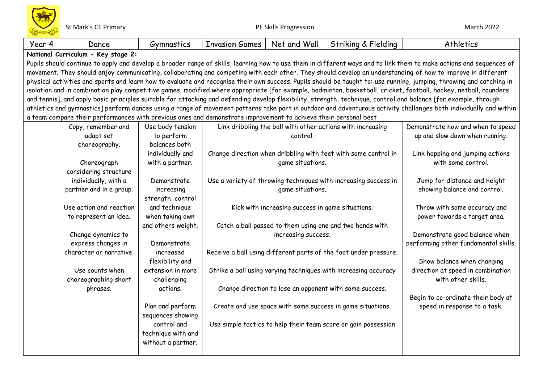| Year 4 | Dance                                                                                                                                                               | Gymnastics         | <b>Invasion Games</b> | Net and Wall                                     | Striking & Fielding                                              | Athletics                                                                                                                                                            |  |
|--------|---------------------------------------------------------------------------------------------------------------------------------------------------------------------|--------------------|-----------------------|--------------------------------------------------|------------------------------------------------------------------|----------------------------------------------------------------------------------------------------------------------------------------------------------------------|--|
|        | National Curriculum - Key stage 2:                                                                                                                                  |                    |                       |                                                  |                                                                  |                                                                                                                                                                      |  |
|        | Pupils should continue to apply and develop a broader range of skills, learning how to use them in different ways and to link them to make actions and sequences of |                    |                       |                                                  |                                                                  |                                                                                                                                                                      |  |
|        |                                                                                                                                                                     |                    |                       |                                                  |                                                                  | movement. They should enjoy communicating, collaborating and competing with each other. They should develop an understanding of how to improve in different          |  |
|        |                                                                                                                                                                     |                    |                       |                                                  |                                                                  | physical activities and sports and learn how to evaluate and recognise their own success. Pupils should be taught to: use running, jumping, throwing and catching in |  |
|        |                                                                                                                                                                     |                    |                       |                                                  |                                                                  | isolation and in combination play competitive games, modified where appropriate [for example, badminton, basketball, cricket, football, hockey, netball, rounders    |  |
|        |                                                                                                                                                                     |                    |                       |                                                  |                                                                  | and tennis], and apply basic principles suitable for attacking and defending develop flexibility, strength, technique, control and balance [for example, through     |  |
|        |                                                                                                                                                                     |                    |                       |                                                  |                                                                  | athletics and gymnastics] perform dances using a range of movement patterns take part in outdoor and adventurous activity challenges both individually and within    |  |
|        | a team compare their performances with previous ones and demonstrate improvement to achieve their personal best                                                     |                    |                       |                                                  |                                                                  |                                                                                                                                                                      |  |
|        | Copy, remember and                                                                                                                                                  | Use body tension   |                       |                                                  | Link dribbling the ball with other actions with increasing       | Demonstrate how and when to speed                                                                                                                                    |  |
|        | adapt set                                                                                                                                                           | to perform         |                       | control.                                         |                                                                  | up and slow down when running.                                                                                                                                       |  |
|        | choreography.                                                                                                                                                       | balances both      |                       |                                                  |                                                                  |                                                                                                                                                                      |  |
|        |                                                                                                                                                                     | individually and   |                       |                                                  | Change direction when dribbling with feet with some control in   | Link hopping and jumping actions                                                                                                                                     |  |
|        | Choreograph                                                                                                                                                         | with a partner.    |                       | game situations.                                 |                                                                  | with some control.                                                                                                                                                   |  |
|        | considering structure                                                                                                                                               |                    |                       |                                                  |                                                                  |                                                                                                                                                                      |  |
|        | individually, with a                                                                                                                                                | Demonstrate        |                       |                                                  | Use a variety of throwing techniques with increasing success in  | Jump for distance and height                                                                                                                                         |  |
|        | partner and in a group.                                                                                                                                             | increasing         |                       | game situations.                                 |                                                                  | showing balance and control.                                                                                                                                         |  |
|        |                                                                                                                                                                     | strength, control  |                       |                                                  |                                                                  |                                                                                                                                                                      |  |
|        | Use action and reaction                                                                                                                                             | and technique      |                       | Kick with increasing success in game situations. |                                                                  | Throw with some accuracy and                                                                                                                                         |  |
|        | to represent an idea.                                                                                                                                               | when taking own    |                       |                                                  |                                                                  | power towards a target area.                                                                                                                                         |  |
|        |                                                                                                                                                                     | and others weight. |                       |                                                  | Catch a ball passed to them using one and two hands with         |                                                                                                                                                                      |  |
|        | Change dynamics to                                                                                                                                                  |                    |                       | increasing success.                              |                                                                  | Demonstrate good balance when                                                                                                                                        |  |
|        | express changes in                                                                                                                                                  | Demonstrate        |                       |                                                  |                                                                  | performing other fundamental skills.                                                                                                                                 |  |
|        | character or narrative.                                                                                                                                             | increased          |                       |                                                  | Receive a ball using different parts of the foot under pressure. |                                                                                                                                                                      |  |
|        |                                                                                                                                                                     | flexibility and    |                       |                                                  |                                                                  | Show balance when changing                                                                                                                                           |  |
|        | Use counts when                                                                                                                                                     | extension in more  |                       |                                                  | Strike a ball using varying techniques with increasing accuracy  | direction at speed in combination                                                                                                                                    |  |
|        | choreographing short                                                                                                                                                | challenging        |                       |                                                  |                                                                  | with other skills.                                                                                                                                                   |  |
|        | phrases.                                                                                                                                                            | actions.           |                       |                                                  | Change direction to lose an opponent with some success.          |                                                                                                                                                                      |  |
|        |                                                                                                                                                                     |                    |                       |                                                  |                                                                  | Begin to co-ordinate their body at                                                                                                                                   |  |
|        |                                                                                                                                                                     | Plan and perform   |                       |                                                  | Create and use space with some success in game situations.       | speed in response to a task.                                                                                                                                         |  |
|        |                                                                                                                                                                     | sequences showing  |                       |                                                  |                                                                  |                                                                                                                                                                      |  |
|        |                                                                                                                                                                     | control and        |                       |                                                  | Use simple tactics to help their team score or gain possession   |                                                                                                                                                                      |  |
|        |                                                                                                                                                                     | technique with and |                       |                                                  |                                                                  |                                                                                                                                                                      |  |
|        |                                                                                                                                                                     | without a partner. |                       |                                                  |                                                                  |                                                                                                                                                                      |  |
|        |                                                                                                                                                                     |                    |                       |                                                  |                                                                  |                                                                                                                                                                      |  |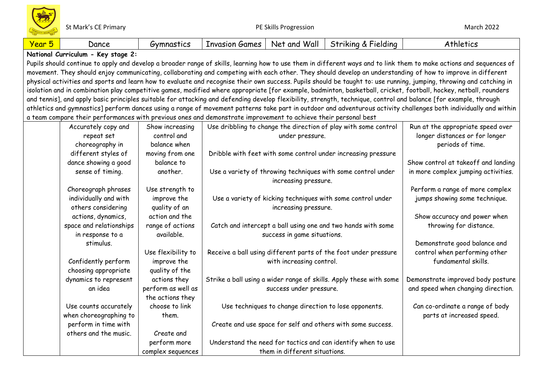St Mark's CE Primary **Subset CE 2022** PE Skills Progression **PE Skills Progression** 

| Year 5 | Dance                                                                                                           | Gymnastics         | <b>Invasion Games</b> | Net and Wall                                          | Striking & Fielding                                                | Athletics                                                                                                                                                            |
|--------|-----------------------------------------------------------------------------------------------------------------|--------------------|-----------------------|-------------------------------------------------------|--------------------------------------------------------------------|----------------------------------------------------------------------------------------------------------------------------------------------------------------------|
|        | National Curriculum - Key stage 2:                                                                              |                    |                       |                                                       |                                                                    |                                                                                                                                                                      |
|        |                                                                                                                 |                    |                       |                                                       |                                                                    | Pupils should continue to apply and develop a broader range of skills, learning how to use them in different ways and to link them to make actions and sequences of  |
|        |                                                                                                                 |                    |                       |                                                       |                                                                    | movement. They should enjoy communicating, collaborating and competing with each other. They should develop an understanding of how to improve in different          |
|        |                                                                                                                 |                    |                       |                                                       |                                                                    | physical activities and sports and learn how to evaluate and recognise their own success. Pupils should be taught to: use running, jumping, throwing and catching in |
|        |                                                                                                                 |                    |                       |                                                       |                                                                    | isolation and in combination play competitive games, modified where appropriate [for example, badminton, basketball, cricket, football, hockey, netball, rounders    |
|        |                                                                                                                 |                    |                       |                                                       |                                                                    | and tennis], and apply basic principles suitable for attacking and defending develop flexibility, strength, technique, control and balance [for example, through     |
|        |                                                                                                                 |                    |                       |                                                       |                                                                    | athletics and gymnastics] perform dances using a range of movement patterns take part in outdoor and adventurous activity challenges both individually and within    |
|        | a team compare their performances with previous ones and demonstrate improvement to achieve their personal best |                    |                       |                                                       |                                                                    |                                                                                                                                                                      |
|        | Accurately copy and                                                                                             | Show increasing    |                       |                                                       | Use dribbling to change the direction of play with some control    | Run at the appropriate speed over                                                                                                                                    |
|        | repeat set                                                                                                      | control and        |                       | under pressure.                                       |                                                                    | longer distances or for longer                                                                                                                                       |
|        | choreography in                                                                                                 | balance when       |                       |                                                       |                                                                    | periods of time.                                                                                                                                                     |
|        | different styles of                                                                                             | moving from one    |                       |                                                       | Dribble with feet with some control under increasing pressure      |                                                                                                                                                                      |
|        | dance showing a good                                                                                            | balance to         |                       |                                                       |                                                                    | Show control at takeoff and landing                                                                                                                                  |
|        | sense of timing.                                                                                                | another.           |                       | increasing pressure.                                  | Use a variety of throwing techniques with some control under       | in more complex jumping activities.                                                                                                                                  |
|        | Choreograph phrases                                                                                             | Use strength to    |                       |                                                       |                                                                    | Perform a range of more complex                                                                                                                                      |
|        | individually and with                                                                                           | improve the        |                       |                                                       | Use a variety of kicking techniques with some control under        | jumps showing some technique.                                                                                                                                        |
|        | others considering                                                                                              | quality of an      |                       | increasing pressure.                                  |                                                                    |                                                                                                                                                                      |
|        | actions, dynamics,                                                                                              | action and the     |                       |                                                       |                                                                    | Show accuracy and power when                                                                                                                                         |
|        | space and relationships                                                                                         | range of actions   |                       |                                                       | Catch and intercept a ball using one and two hands with some       | throwing for distance.                                                                                                                                               |
|        | in response to a                                                                                                | available.         |                       | success in game situations.                           |                                                                    |                                                                                                                                                                      |
|        | stimulus.                                                                                                       |                    |                       |                                                       |                                                                    | Demonstrate good balance and                                                                                                                                         |
|        |                                                                                                                 | Use flexibility to |                       |                                                       | Receive a ball using different parts of the foot under pressure    | control when performing other                                                                                                                                        |
|        | Confidently perform                                                                                             | improve the        |                       | with increasing control.                              |                                                                    | fundamental skills.                                                                                                                                                  |
|        | choosing appropriate                                                                                            | quality of the     |                       |                                                       |                                                                    |                                                                                                                                                                      |
|        | dynamics to represent                                                                                           | actions they       |                       |                                                       | Strike a ball using a wider range of skills. Apply these with some | Demonstrate improved body posture                                                                                                                                    |
|        | an idea                                                                                                         | perform as well as |                       | success under pressure.                               |                                                                    | and speed when changing direction.                                                                                                                                   |
|        |                                                                                                                 | the actions they   |                       |                                                       |                                                                    |                                                                                                                                                                      |
|        | Use counts accurately                                                                                           | choose to link     |                       | Use techniques to change direction to lose opponents. |                                                                    | Can co-ordinate a range of body                                                                                                                                      |
|        | when choreographing to                                                                                          | them.              |                       |                                                       |                                                                    | parts at increased speed.                                                                                                                                            |
|        | perform in time with                                                                                            |                    |                       |                                                       | Create and use space for self and others with some success.        |                                                                                                                                                                      |
|        | others and the music.                                                                                           | Create and         |                       |                                                       |                                                                    |                                                                                                                                                                      |
|        |                                                                                                                 | perform more       |                       |                                                       | Understand the need for tactics and can identify when to use       |                                                                                                                                                                      |
|        |                                                                                                                 | complex sequences  |                       | them in different situations.                         |                                                                    |                                                                                                                                                                      |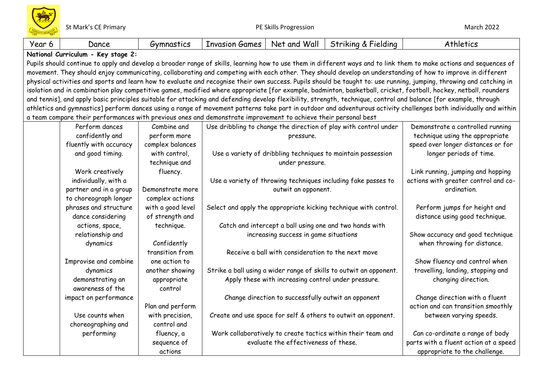| Year 6 | Dance                                                                                                                                                               | Gymnastics        | <b>Invasion Games</b> | Net and Wall                                        | Striking & Fielding                                                | Athletics                                                                                                                                                            |
|--------|---------------------------------------------------------------------------------------------------------------------------------------------------------------------|-------------------|-----------------------|-----------------------------------------------------|--------------------------------------------------------------------|----------------------------------------------------------------------------------------------------------------------------------------------------------------------|
|        | National Curriculum - Key stage 2:                                                                                                                                  |                   |                       |                                                     |                                                                    |                                                                                                                                                                      |
|        | Pupils should continue to apply and develop a broader range of skills, learning how to use them in different ways and to link them to make actions and sequences of |                   |                       |                                                     |                                                                    |                                                                                                                                                                      |
|        | movement. They should enjoy communicating, collaborating and competing with each other. They should develop an understanding of how to improve in different         |                   |                       |                                                     |                                                                    |                                                                                                                                                                      |
|        |                                                                                                                                                                     |                   |                       |                                                     |                                                                    | physical activities and sports and learn how to evaluate and recognise their own success. Pupils should be taught to: use running, jumping, throwing and catching in |
|        |                                                                                                                                                                     |                   |                       |                                                     |                                                                    | isolation and in combination play competitive games, modified where appropriate [for example, badminton, basketball, cricket, football, hockey, netball, rounders    |
|        |                                                                                                                                                                     |                   |                       |                                                     |                                                                    | and tennis], and apply basic principles suitable for attacking and defending develop flexibility, strength, technique, control and balance [for example, through     |
|        |                                                                                                                                                                     |                   |                       |                                                     |                                                                    | athletics and gymnastics] perform dances using a range of movement patterns take part in outdoor and adventurous activity challenges both individually and within    |
|        | a team compare their performances with previous ones and demonstrate improvement to achieve their personal best                                                     |                   |                       |                                                     |                                                                    |                                                                                                                                                                      |
|        | Perform dances                                                                                                                                                      | Combine and       |                       |                                                     | Use dribbling to change the direction of play with control under   | Demonstrate a controlled running                                                                                                                                     |
|        | confidently and                                                                                                                                                     | perform more      |                       | pressure.                                           |                                                                    | technique using the appropriate                                                                                                                                      |
|        | fluently with accuracy                                                                                                                                              | complex balances  |                       |                                                     |                                                                    | speed over longer distances or for                                                                                                                                   |
|        | and good timing.                                                                                                                                                    | with control,     |                       |                                                     | Use a variety of dribbling techniques to maintain possession       | longer periods of time.                                                                                                                                              |
|        |                                                                                                                                                                     | technique and     |                       | under pressure.                                     |                                                                    |                                                                                                                                                                      |
|        | Work creatively                                                                                                                                                     | fluency.          |                       |                                                     |                                                                    | Link running, jumping and hopping                                                                                                                                    |
|        | individually, with a                                                                                                                                                |                   |                       |                                                     | Use a variety of throwing techniques including fake passes to      | actions with greater control and co-                                                                                                                                 |
|        | partner and in a group                                                                                                                                              | Demonstrate more  |                       | outwit an opponent.                                 |                                                                    | ordination.                                                                                                                                                          |
|        | to choreograph longer                                                                                                                                               | complex actions   |                       |                                                     |                                                                    |                                                                                                                                                                      |
|        | phrases and structure                                                                                                                                               | with a good level |                       |                                                     | Select and apply the appropriate kicking technique with control.   | Perform jumps for height and                                                                                                                                         |
|        | dance considering                                                                                                                                                   | of strength and   |                       |                                                     |                                                                    | distance using good technique.                                                                                                                                       |
|        | actions, space,                                                                                                                                                     | technique.        |                       |                                                     | Catch and intercept a ball using one and two hands with            |                                                                                                                                                                      |
|        | relationship and                                                                                                                                                    |                   |                       | increasing success in game situations               |                                                                    | Show accuracy and good technique                                                                                                                                     |
|        | dynamics                                                                                                                                                            | Confidently       |                       |                                                     |                                                                    | when throwing for distance.                                                                                                                                          |
|        |                                                                                                                                                                     | transition from   |                       | Receive a ball with consideration to the next move  |                                                                    |                                                                                                                                                                      |
|        | Improvise and combine                                                                                                                                               | one action to     |                       |                                                     |                                                                    | Show fluency and control when                                                                                                                                        |
|        | dynamics                                                                                                                                                            | another showing   |                       |                                                     | Strike a ball using a wider range of skills to outwit an opponent. | travelling, landing, stopping and                                                                                                                                    |
|        | demonstrating an                                                                                                                                                    | appropriate       |                       | Apply these with increasing control under pressure. |                                                                    | changing direction.                                                                                                                                                  |
|        | awareness of the                                                                                                                                                    | control           |                       |                                                     |                                                                    |                                                                                                                                                                      |
|        | impact on performance                                                                                                                                               |                   |                       | Change direction to successfully outwit an opponent |                                                                    | Change direction with a fluent                                                                                                                                       |
|        |                                                                                                                                                                     | Plan and perform  |                       |                                                     |                                                                    | action and can transition smoothly                                                                                                                                   |
|        | Use counts when                                                                                                                                                     | with precision,   |                       |                                                     | Create and use space for self & others to outwit an opponent.      | between varying speeds.                                                                                                                                              |
|        | choreographing and                                                                                                                                                  | control and       |                       |                                                     |                                                                    |                                                                                                                                                                      |
|        | performing                                                                                                                                                          | fluency, a        |                       |                                                     | Work collaboratively to create tactics within their team and       | Can co-ordinate a range of body                                                                                                                                      |
|        |                                                                                                                                                                     | sequence of       |                       | evaluate the effectiveness of these.                |                                                                    | parts with a fluent action at a speed                                                                                                                                |
|        |                                                                                                                                                                     | actions           |                       |                                                     |                                                                    | appropriate to the challenge.                                                                                                                                        |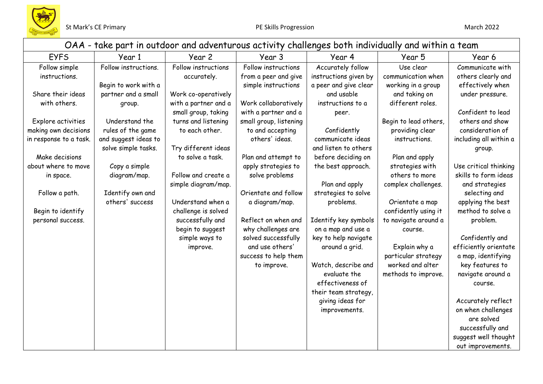

|                                                                      | OAA - take part in outdoor and adventurous activity challenges both individually and within a team |                                                                    |                                                                    |                                                                     |                                                                                 |                                                                                     |  |  |
|----------------------------------------------------------------------|----------------------------------------------------------------------------------------------------|--------------------------------------------------------------------|--------------------------------------------------------------------|---------------------------------------------------------------------|---------------------------------------------------------------------------------|-------------------------------------------------------------------------------------|--|--|
| <b>EYFS</b>                                                          | Year 1                                                                                             | Year 2                                                             | Year 3                                                             | Year 4                                                              | Year 5                                                                          | Year 6                                                                              |  |  |
| Follow simple<br>instructions.                                       | Follow instructions.<br>Begin to work with a                                                       | Follow instructions<br>accurately.                                 | Follow instructions<br>from a peer and give<br>simple instructions | Accurately follow<br>instructions given by<br>a peer and give clear | Use clear<br>communication when<br>working in a group                           | Communicate with<br>others clearly and<br>effectively when                          |  |  |
| Share their ideas<br>with others.                                    | partner and a small<br>group.                                                                      | Work co-operatively<br>with a partner and a<br>small group, taking | Work collaboratively<br>with a partner and a                       | and usable<br>instructions to a                                     | and taking on<br>different roles.                                               | under pressure.<br>Confident to lead                                                |  |  |
| Explore activities<br>making own decisions<br>in response to a task. | Understand the<br>rules of the game<br>and suggest ideas to<br>solve simple tasks.                 | turns and listening<br>to each other.<br>Try different ideas       | small group, listening<br>to and accepting<br>others' ideas.       | peer.<br>Confidently<br>communicate ideas<br>and listen to others   | Begin to lead others,<br>providing clear<br>instructions.                       | others and show<br>consideration of<br>including all within a                       |  |  |
| Make decisions<br>about where to move<br>in space.                   | Copy a simple<br>diagram/map.                                                                      | to solve a task.<br>Follow and create a<br>simple diagram/map.     | Plan and attempt to<br>apply strategies to<br>solve problems       | before deciding on<br>the best approach.<br>Plan and apply          | Plan and apply<br>strategies with<br>others to more<br>complex challenges.      | group.<br>Use critical thinking<br>skills to form ideas<br>and strategies           |  |  |
| Follow a path.<br>Begin to identify                                  | Identify own and<br>others' success                                                                | Understand when a<br>challenge is solved                           | Orientate and follow<br>a diagram/map.                             | strategies to solve<br>problems.                                    | Orientate a map<br>confidently using it                                         | selecting and<br>applying the best<br>method to solve a                             |  |  |
| personal success.                                                    |                                                                                                    | successfully and<br>begin to suggest<br>simple ways to             | Reflect on when and<br>why challenges are<br>solved successfully   | Identify key symbols<br>on a map and use a<br>key to help navigate  | to navigate around a<br>course.                                                 | problem.<br>Confidently and                                                         |  |  |
|                                                                      |                                                                                                    | improve.                                                           | and use others'<br>success to help them<br>to improve.             | around a grid.<br>Watch, describe and<br>evaluate the               | Explain why a<br>particular strategy<br>worked and alter<br>methods to improve. | efficiently orientate<br>a map, identifying<br>key features to<br>navigate around a |  |  |
|                                                                      |                                                                                                    |                                                                    |                                                                    | effectiveness of<br>their team strategy,<br>giving ideas for        |                                                                                 | course.<br>Accurately reflect                                                       |  |  |
|                                                                      |                                                                                                    |                                                                    |                                                                    | improvements.                                                       |                                                                                 | on when challenges<br>are solved<br>successfully and<br>suggest well thought        |  |  |
|                                                                      |                                                                                                    |                                                                    |                                                                    |                                                                     |                                                                                 | out improvements.                                                                   |  |  |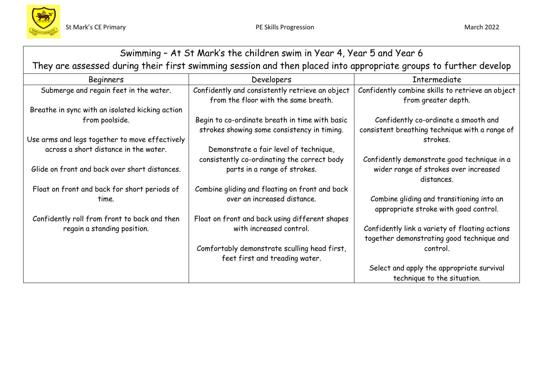

|                                                                                                                  | Swimming - At St Mark's the children swim in Year 4, Year 5 and Year 6                        |                                                                                             |  |  |  |  |
|------------------------------------------------------------------------------------------------------------------|-----------------------------------------------------------------------------------------------|---------------------------------------------------------------------------------------------|--|--|--|--|
| They are assessed during their first swimming session and then placed into appropriate groups to further develop |                                                                                               |                                                                                             |  |  |  |  |
| <b>Beginners</b>                                                                                                 | Developers                                                                                    | Intermediate                                                                                |  |  |  |  |
| Submerge and regain feet in the water.                                                                           | Confidently and consistently retrieve an object<br>from the floor with the same breath.       | Confidently combine skills to retrieve an object<br>from greater depth.                     |  |  |  |  |
| Breathe in sync with an isolated kicking action                                                                  |                                                                                               |                                                                                             |  |  |  |  |
| from poolside.                                                                                                   | Begin to co-ordinate breath in time with basic<br>strokes showing some consistency in timing. | Confidently co-ordinate a smooth and<br>consistent breathing technique with a range of      |  |  |  |  |
| Use arms and legs together to move effectively                                                                   |                                                                                               | strokes.                                                                                    |  |  |  |  |
| across a short distance in the water.                                                                            | Demonstrate a fair level of technique,                                                        |                                                                                             |  |  |  |  |
|                                                                                                                  | consistently co-ordinating the correct body                                                   | Confidently demonstrate good technique in a                                                 |  |  |  |  |
| Glide on front and back over short distances.                                                                    | parts in a range of strokes.                                                                  | wider range of strokes over increased<br>distances.                                         |  |  |  |  |
| Float on front and back for short periods of                                                                     | Combine gliding and floating on front and back                                                |                                                                                             |  |  |  |  |
| time.                                                                                                            | over an increased distance.                                                                   | Combine gliding and transitioning into an<br>appropriate stroke with good control.          |  |  |  |  |
| Confidently roll from front to back and then                                                                     | Float on front and back using different shapes                                                |                                                                                             |  |  |  |  |
| regain a standing position.                                                                                      | with increased control.                                                                       | Confidently link a variety of floating actions<br>together demonstrating good technique and |  |  |  |  |
|                                                                                                                  | Comfortably demonstrate sculling head first,                                                  | control.                                                                                    |  |  |  |  |
|                                                                                                                  | feet first and treading water.                                                                |                                                                                             |  |  |  |  |
|                                                                                                                  |                                                                                               | Select and apply the appropriate survival                                                   |  |  |  |  |
|                                                                                                                  |                                                                                               | technique to the situation.                                                                 |  |  |  |  |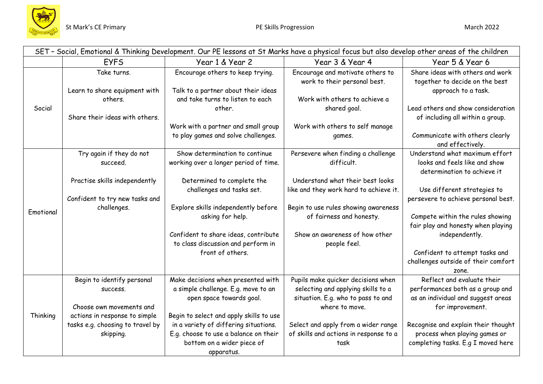

|           | SET - Social, Emotional & Thinking Development. Our PE lessons at St Marks have a physical focus but also develop other areas of the children        |                                                                                                                                                                                                                                                                                |                                                                                                                                                                                                                           |                                                                                                                                                                                                                                        |  |  |  |  |
|-----------|------------------------------------------------------------------------------------------------------------------------------------------------------|--------------------------------------------------------------------------------------------------------------------------------------------------------------------------------------------------------------------------------------------------------------------------------|---------------------------------------------------------------------------------------------------------------------------------------------------------------------------------------------------------------------------|----------------------------------------------------------------------------------------------------------------------------------------------------------------------------------------------------------------------------------------|--|--|--|--|
|           | <b>EYFS</b>                                                                                                                                          | Year 1 & Year 2                                                                                                                                                                                                                                                                | Year 3 & Year 4                                                                                                                                                                                                           | Year 5 & Year 6                                                                                                                                                                                                                        |  |  |  |  |
| Social    | Take turns.<br>Learn to share equipment with<br>others.                                                                                              | Encourage others to keep trying.<br>Talk to a partner about their ideas<br>and take turns to listen to each<br>other.                                                                                                                                                          | Encourage and motivate others to<br>work to their personal best.<br>Work with others to achieve a<br>shared goal.                                                                                                         | Share ideas with others and work<br>together to decide on the best<br>approach to a task.<br>Lead others and show consideration                                                                                                        |  |  |  |  |
|           | Share their ideas with others.                                                                                                                       | Work with a partner and small group<br>to play games and solve challenges.                                                                                                                                                                                                     | Work with others to self manage<br>games.                                                                                                                                                                                 | of including all within a group.<br>Communicate with others clearly<br>and effectively.                                                                                                                                                |  |  |  |  |
|           | Try again if they do not<br>succeed.                                                                                                                 | Show determination to continue<br>working over a longer period of time.                                                                                                                                                                                                        | Persevere when finding a challenge<br>difficult.                                                                                                                                                                          | Understand what maximum effort<br>looks and feels like and show<br>determination to achieve it                                                                                                                                         |  |  |  |  |
| Emotional | Practise skills independently<br>Confident to try new tasks and<br>challenges.                                                                       | Determined to complete the<br>challenges and tasks set.<br>Explore skills independently before<br>asking for help.                                                                                                                                                             | Understand what their best looks<br>like and they work hard to achieve it.<br>Begin to use rules showing awareness<br>of fairness and honesty.                                                                            | Use different strategies to<br>persevere to achieve personal best.<br>Compete within the rules showing                                                                                                                                 |  |  |  |  |
|           |                                                                                                                                                      | Confident to share ideas, contribute<br>to class discussion and perform in<br>front of others.                                                                                                                                                                                 | Show an awareness of how other<br>people feel.                                                                                                                                                                            | fair play and honesty when playing<br>independently.<br>Confident to attempt tasks and<br>challenges outside of their comfort<br>zone.                                                                                                 |  |  |  |  |
| Thinking  | Begin to identify personal<br>SUCCESS.<br>Choose own movements and<br>actions in response to simple<br>tasks e.g. choosing to travel by<br>skipping. | Make decisions when presented with<br>a simple challenge. E.g. move to an<br>open space towards goal.<br>Begin to select and apply skills to use<br>in a variety of differing situations.<br>E.g. choose to use a balance on their<br>bottom on a wider piece of<br>apparatus. | Pupils make quicker decisions when<br>selecting and applying skills to a<br>situation. E.g. who to pass to and<br>where to move.<br>Select and apply from a wider range<br>of skills and actions in response to a<br>task | Reflect and evaluate their<br>performances both as a group and<br>as an individual and suggest areas<br>for improvement.<br>Recognise and explain their thought<br>process when playing games or<br>completing tasks. E.g I moved here |  |  |  |  |